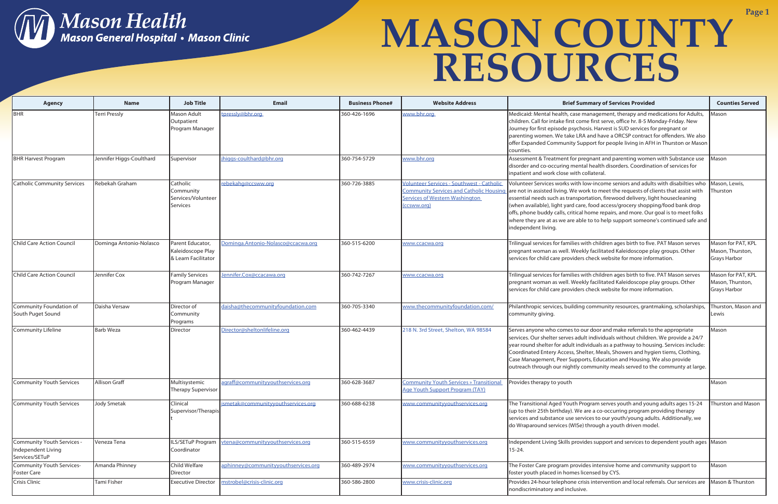

| <b>Agency</b>                                                    | <b>Name</b>              | <b>Job Title</b>                                               | <b>Email</b>                        | <b>Business Phone#</b> | <b>Website Address</b>                                                                                                                                     | <b>Brief Summary of Services Provided</b>                                                                                                                                                                                                                                                                                                                                                                                                                                                                                                      | <b>Counties Served</b>                                        |
|------------------------------------------------------------------|--------------------------|----------------------------------------------------------------|-------------------------------------|------------------------|------------------------------------------------------------------------------------------------------------------------------------------------------------|------------------------------------------------------------------------------------------------------------------------------------------------------------------------------------------------------------------------------------------------------------------------------------------------------------------------------------------------------------------------------------------------------------------------------------------------------------------------------------------------------------------------------------------------|---------------------------------------------------------------|
| BHR                                                              | <b>Terri Pressly</b>     | Mason Adult<br>Outpatient<br>Program Manager                   | tpressly@bhr.org                    | 360-426-1696           | www.bhr.org                                                                                                                                                | Medicaid: Mental health, case management, therapy and medications for Adults,<br>children. Call for intake first come first serve, office hr. 8-5 Monday-Friday. New<br>Journey for first episode psychosis. Harvest is SUD services for pregnant or<br>parenting women. We take LRA and have a ORCSP contract for offenders. We also<br>offer Expanded Community Support for people living in AFH in Thurston or Mason<br>counties.                                                                                                           | Mason                                                         |
| <b>BHR Harvest Program</b>                                       | Jennifer Higgs-Coulthard | Supervisor                                                     | jhiggs-coulthard@bhr.org            | 360-754-5729           | www.bhr.org                                                                                                                                                | Assessment & Treatment for pregnant and parenting women with Substance use   Mason<br>disorder and co-occuring mental health disorders. Coordination of services for<br>inpatient and work close with collateral.                                                                                                                                                                                                                                                                                                                              |                                                               |
| <b>Catholic Community Services</b>                               | Rebekah Graham           | Catholic<br>Community<br>Services/Volunteer<br><b>Services</b> | rebekahg@ccsww.org                  | 360-726-3885           | <b>Volunteer Services - Southwest - Catholic</b><br><b>Community Services and Catholic Housing</b><br><b>Services of Western Washington</b><br>(ccsww.org) | Volunteer Services works with low-income seniors and adults with disabilties who<br>are not in assisted living. We work to meet the requests of clients that assist with<br>essential needs such as transportation, firewood delivery, light housecleaning<br>(when available), light yard care, food access/grocery shopping/food bank drop<br>offs, phone buddy calls, critical home repairs, and more. Our goal is to meet folks<br>where they are at as we are able to to help support someone's continued safe and<br>independent living. | Mason, Lewis,<br>Thurston                                     |
| Child Care Action Council                                        | Dominga Antonio-Nolasco  | Parent Educator,<br>Kaleidoscope Play<br>& Learn Facilitator   | Dominga.Antonio-Nolasco@ccacwa.org  | 360-515-6200           | www.ccacwa.org                                                                                                                                             | Trilingual services for families with children ages birth to five. PAT Mason serves<br>pregnant woman as well. Weekly facilitated Kaleidoscope play groups. Other<br>services for child care providers check website for more information.                                                                                                                                                                                                                                                                                                     | Mason for PAT, KPL<br>Mason, Thurston,<br><b>Grays Harbor</b> |
| Child Care Action Council                                        | Jennifer Cox             | <b>Family Services</b><br>Program Manager                      | Jennifer.Cox@ccacawa.org            | 360-742-7267           | www.ccacwa.org                                                                                                                                             | Trilingual services for families with children ages birth to five. PAT Mason serves<br>pregnant woman as well. Weekly facilitated Kaleidoscope play groups. Other<br>services for child care providers check website for more information.                                                                                                                                                                                                                                                                                                     | Mason for PAT, KPL<br>Mason, Thurston,<br><b>Grays Harbor</b> |
| Community Foundation of<br>South Puget Sound                     | Daisha Versaw            | Director of<br>Community<br>Programs                           | daisha@thecommunityfoundation.com   | 360-705-3340           | www.thecommunityfoundation.com/                                                                                                                            | Philanthropic services, building community resources, grantmaking, scholarships,<br>community giving.                                                                                                                                                                                                                                                                                                                                                                                                                                          | Thurston, Mason and<br>Lewis                                  |
| <b>Community Lifeline</b>                                        | <b>Barb Weza</b>         | Director                                                       | Director@sheltonlifeline.org        | 360-462-4439           | 218 N. 3rd Street, Shelton, WA 98584                                                                                                                       | Serves anyone who comes to our door and make referrals to the appropriate<br>services. Our shelter serves adult individuals without children. We provide a 24/7<br>year round shelter for adult individuals as a pathway to housing. Services include:<br>Coordinated Entery Access, Shelter, Meals, Showers and hygien tiems, Clothing,<br>Case Management, Peer Supports, Education and Housing. We also provide<br>outreach through our nightly community meals served to the communty at large.                                            | Mason                                                         |
| Community Youth Services                                         | Allison Graff            | Multisystemic<br>Therapy Supervisor                            | agraff@communityyouthservices.org   | 360-628-3687           | Community Youth Services » Transitional Provides therapy to youth<br><b>Age Youth Support Program (TAY)</b>                                                |                                                                                                                                                                                                                                                                                                                                                                                                                                                                                                                                                | Mason                                                         |
| Community Youth Services                                         | <b>Jody Smetak</b>       | Clinical<br>Supervisor/Therapis                                | jsmetak@communityyouthservices.org  | 360-688-6238           | www.communityyouthservices.org                                                                                                                             | The Transitional Aged Youth Program serves youth and young adults ages 15-24<br>(up to their 25th birthday). We are a co-occurring program providing therapy<br>services and substance use services to our youth/young adults. Additionally, we<br>do Wraparound services (WISe) through a youth driven model.                                                                                                                                                                                                                                 | Thurston and Mason                                            |
| Community Youth Services<br>Independent Living<br>Services/SETuP | Veneza Tena              | LS/SETuP Program<br>Coordinator                                | vtena@communityyouthservices.org    | 360-515-6559           | www.communityyouthservices.org                                                                                                                             | Independent Living Skills provides support and services to dependent youth ages Mason<br>15-24.                                                                                                                                                                                                                                                                                                                                                                                                                                                |                                                               |
| Community Youth Services-<br><b>Foster Care</b>                  | Amanda Phinney           | Child Welfare<br>Director                                      | aphinney@communityyouthservices.org | 360-489-2974           | www.communityyouthservices.org                                                                                                                             | The Foster Care program provides intensive home and community support to<br>foster youth placed in homes licensed by CYS.                                                                                                                                                                                                                                                                                                                                                                                                                      | Mason                                                         |
| Crisis Clinic                                                    | Tami Fisher              | <b>Executive Director</b>                                      | mstrobel@crisis-clinic.org          | 360-586-2800           | www.crisis-clinic.org                                                                                                                                      | Provides 24-hour telephone crisis intervention and local referrals. Our services are<br>nondiscriminatory and inclusive.                                                                                                                                                                                                                                                                                                                                                                                                                       | Mason & Thurston                                              |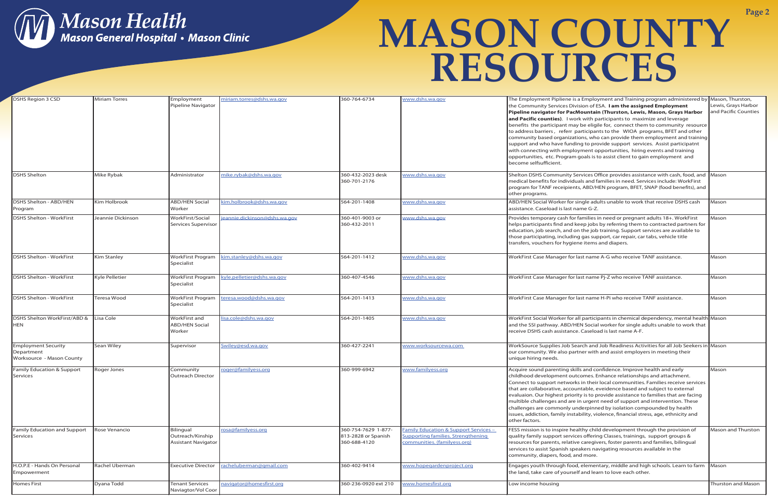

| <b>DSHS Region 3 CSD</b>              | <b>Miriam Torres</b>  | Employment                              | miriam.torres@dshs.wa.gov    | 360-764-6734                    | www.dshs.wa.gov                                  | The Employment Pipliene is a Employment and Training program administered by Mason, Thurston,                                                                        |                      |
|---------------------------------------|-----------------------|-----------------------------------------|------------------------------|---------------------------------|--------------------------------------------------|----------------------------------------------------------------------------------------------------------------------------------------------------------------------|----------------------|
|                                       |                       | Pipeline Navigator                      |                              |                                 |                                                  | the Community Services Division of ESA. I am the assigned Employment                                                                                                 | Lewis, Grays Harbor  |
|                                       |                       |                                         |                              |                                 |                                                  | Pipeline navigator for PacMountain (Thurston, Lewis, Mason, Grays Harbor                                                                                             | and Pacific Counties |
|                                       |                       |                                         |                              |                                 |                                                  | and Pacific counties). I work with participants to maximize and leverage                                                                                             |                      |
|                                       |                       |                                         |                              |                                 |                                                  | benefits the participant may be eligile for, connect them to community resource                                                                                      |                      |
|                                       |                       |                                         |                              |                                 |                                                  | to address barriers, referr participants to the WIOA programs, BFET and other                                                                                        |                      |
|                                       |                       |                                         |                              |                                 |                                                  | community based organizations, who can provide them employment and training                                                                                          |                      |
|                                       |                       |                                         |                              |                                 |                                                  | support and who have funding to provide support services. Assist participatnt                                                                                        |                      |
|                                       |                       |                                         |                              |                                 |                                                  | with connecting with employment opportunities, hiring events and training                                                                                            |                      |
|                                       |                       |                                         |                              |                                 |                                                  | opportunities, etc. Program goals is to assist client to gain employment and                                                                                         |                      |
|                                       |                       |                                         |                              |                                 |                                                  | become selfsufficient.                                                                                                                                               |                      |
| <b>DSHS Shelton</b>                   | Mike Rybak            | Administrator                           | mike.rybak@dshs.wa.gov       | 360-432-2023 desk               | www.dshs.wa.gov                                  | Shelton DSHS Community Services Office provides assistance with cash, food, and Mason                                                                                |                      |
|                                       |                       |                                         |                              | 360-701-2176                    |                                                  | medical benefits for individuals and families in need. Services include: WorkFirst                                                                                   |                      |
|                                       |                       |                                         |                              |                                 |                                                  | program for TANF receipients, ABD/HEN program, BFET, SNAP (food benefits), and                                                                                       |                      |
|                                       |                       |                                         |                              |                                 |                                                  | other programs.                                                                                                                                                      |                      |
| DSHS Shelton - ABD/HEN                | Kim Holbrook          | <b>ABD/HEN Social</b>                   | im.holbrook@dshs.wa.gov      | 564-201-1408                    | www.dshs.wa.gov                                  | ABD/HEN Social Worker for single adults unable to work that receive DSHS cash                                                                                        | Mason                |
| Program                               |                       | Worker                                  |                              |                                 |                                                  | assistance. Caseload is last name G-Z.                                                                                                                               |                      |
|                                       | Jeannie Dickinson     |                                         |                              |                                 |                                                  |                                                                                                                                                                      |                      |
| <b>DSHS Shelton - WorkFirst</b>       |                       | WorkFirst/Social<br>Services Supervisor | eannie.dickinson@dshs.wa.gov | 360-401-9003 or<br>360-432-2011 | www.dshs.wa.gov                                  | Provides temporary cash for families in need or pregnant adults 18+. WorkFirst<br>helps participants find and keep jobs by referring them to contracted partners for | Mason                |
|                                       |                       |                                         |                              |                                 |                                                  | education, job search, and on the job training. Support services are available to                                                                                    |                      |
|                                       |                       |                                         |                              |                                 |                                                  | those participating, including gas support, car repair, car tabs, vehicle title                                                                                      |                      |
|                                       |                       |                                         |                              |                                 |                                                  | transfers, vouchers for hygiene items and diapers.                                                                                                                   |                      |
|                                       |                       |                                         |                              |                                 |                                                  |                                                                                                                                                                      |                      |
| <b>DSHS Shelton - WorkFirst</b>       | Kim Stanley           | <b>WorkFirst Program</b>                | cim.stanley@dshs.wa.gov      | 564-201-1412                    | www.dshs.wa.gov                                  | WorkFirst Case Manager for last name A-G who receive TANF assistance.                                                                                                | Mason                |
|                                       |                       | Specialist                              |                              |                                 |                                                  |                                                                                                                                                                      |                      |
|                                       |                       |                                         |                              |                                 |                                                  |                                                                                                                                                                      |                      |
| <b>DSHS Shelton - WorkFirst</b>       | <b>Kyle Pelletier</b> | <b>WorkFirst Program</b>                | kyle.pelletier@dshs.wa.gov   | 360-407-4546                    | www.dshs.wa.gov                                  | WorkFirst Case Manager for last name Pi-Z who receive TANF assistance.                                                                                               | Mason                |
|                                       |                       | Specialist                              |                              |                                 |                                                  |                                                                                                                                                                      |                      |
|                                       |                       |                                         |                              |                                 |                                                  |                                                                                                                                                                      |                      |
| <b>DSHS Shelton - WorkFirst</b>       | Teresa Wood           | <b>WorkFirst Program</b>                | teresa.wood@dshs.wa.gov      | 564-201-1413                    | www.dshs.wa.gov                                  | WorkFirst Case Manager for last name H-Pi who receive TANF assistance.                                                                                               | Mason                |
|                                       |                       | Specialist                              |                              |                                 |                                                  |                                                                                                                                                                      |                      |
|                                       |                       |                                         |                              |                                 |                                                  |                                                                                                                                                                      |                      |
| DSHS Shelton WorkFirst/ABD &          | Lisa Cole             | WorkFirst and                           | isa.cole@dshs.wa.gov         | 564-201-1405                    | www.dshs.wa.gov                                  | WorkFirst Social Worker for all participants in chemical dependency, mental health Mason                                                                             |                      |
| <b>HEN</b>                            |                       | <b>ABD/HEN Social</b>                   |                              |                                 |                                                  | and the SSI pathway. ABD/HEN Social worker for single adults unable to work that                                                                                     |                      |
|                                       |                       | Worker                                  |                              |                                 |                                                  | receive DSHS cash assistance. Caseload is last name A-F.                                                                                                             |                      |
|                                       |                       |                                         |                              |                                 |                                                  |                                                                                                                                                                      |                      |
| <b>Employment Security</b>            | <b>Sean Wiley</b>     | Supervisor                              | Swiley@esd.wa.gov            | 360-427-2241                    | www.worksourcewa.com                             | WorkSource Supplies Job Search and Job Readiness Activities for all Job Seekers in Mason                                                                             |                      |
| Department                            |                       |                                         |                              |                                 |                                                  | our community. We also partner with and assist employers in meeting their                                                                                            |                      |
| Worksource - Mason County             |                       |                                         |                              |                                 |                                                  | unique hiring needs.                                                                                                                                                 |                      |
| <b>Family Education &amp; Support</b> | Roger Jones           | Community                               | roger@familyess.org          | 360-999-6942                    | www.familyess.org                                | Acquire sound parenting skills and confidence. Improve health and early                                                                                              | Mason                |
| Services                              |                       | <b>Outreach Director</b>                |                              |                                 |                                                  | childhood development outcomes. Enhance relationships and attachment.                                                                                                |                      |
|                                       |                       |                                         |                              |                                 |                                                  | Connect to support networks in their local communities. Families receive services                                                                                    |                      |
|                                       |                       |                                         |                              |                                 |                                                  | that are collaborative, accountable, eveidence based and subject to external                                                                                         |                      |
|                                       |                       |                                         |                              |                                 |                                                  | evaluaion. Our highest priority is to provide assistance to families that are facing                                                                                 |                      |
|                                       |                       |                                         |                              |                                 |                                                  | multible challenges and are in urgent need of support and intervention. These                                                                                        |                      |
|                                       |                       |                                         |                              |                                 |                                                  | challenges are commonly underpinned by isolation compounded by health                                                                                                |                      |
|                                       |                       |                                         |                              |                                 |                                                  | issues, addiction, family instability, violence, financial stress, age, ethnicity and                                                                                |                      |
|                                       |                       |                                         |                              |                                 |                                                  | other factors.                                                                                                                                                       |                      |
| Family Education and Support          | Rose Venancio         | Bilingual                               | rosa@familyess.org           | 360-754-7629 1-877-             | <b>Family Education &amp; Support Services -</b> | FESS mission is to inspire healthy child development through the provision of                                                                                        | Mason and Thurston   |
| Services                              |                       | Outreach/Kinship                        |                              | 813-2828 or Spanish             | Supporting families. Strengthening               | quality family support services offering Classes, trainings, support groups &                                                                                        |                      |
|                                       |                       | <b>Assistant Navigator</b>              |                              | 360-688-4120                    | communities. (familyess.org)                     | resources for parents, relative caregivers, foster parents and families, bilingual                                                                                   |                      |
|                                       |                       |                                         |                              |                                 |                                                  | services to assist Spanish speakers navigating resources available in the                                                                                            |                      |
|                                       |                       |                                         |                              |                                 |                                                  | community, diapers, food, and more.                                                                                                                                  |                      |
| H.O.P.E - Hands On Personal           | Rachel Uberman        | <b>Executive Director</b>               | racheluberman@gmail.com      | 360-402-9414                    | www.hopegardenproject.org                        | Engages youth through food, elementary, middle and high schools. Learn to farm Mason                                                                                 |                      |
| Empowerment                           |                       |                                         |                              |                                 |                                                  | the land, take care of yourself and learn to love each other.                                                                                                        |                      |
|                                       |                       |                                         |                              |                                 |                                                  |                                                                                                                                                                      |                      |
| <b>Homes First</b>                    | Dyana Todd            | <b>Tenant Services</b>                  | navigator@homesfirst.org     | 360-236-0920 ext 210            | www.homesfirst.org                               | Low income housing                                                                                                                                                   | Thurston and Mason   |
|                                       |                       | Naviagtor/Vol Coor                      |                              |                                 |                                                  |                                                                                                                                                                      |                      |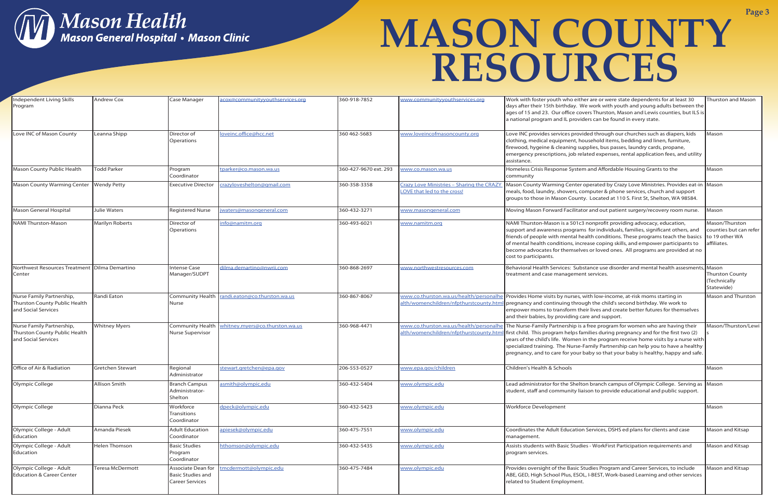

| Independent Living Skills<br>Program                                              | Andrew Cox              | <b>Case Manager</b>                                                      | acox@communityyouthservices.org | 360-918-7852          | www.communityyouthservices.org                                           | Work with foster youth who either are or were state dependents for at least 30<br>days after their 15th birthday. We work with youth and young adults between the<br>ages of 15 and 23. Our office covers Thurston, Mason and Lewis counties, but ILS is<br>a national program and IL providers can be found in every state.                                                                                                                                                   | Thurston and Mason                                                        |
|-----------------------------------------------------------------------------------|-------------------------|--------------------------------------------------------------------------|---------------------------------|-----------------------|--------------------------------------------------------------------------|--------------------------------------------------------------------------------------------------------------------------------------------------------------------------------------------------------------------------------------------------------------------------------------------------------------------------------------------------------------------------------------------------------------------------------------------------------------------------------|---------------------------------------------------------------------------|
| Love INC of Mason County                                                          | Leanna Shipp            | Director of<br>Operations                                                | loveinc.office@hcc.net          | 360 462-5683          | www.loveincofmasoncounty.org                                             | Love INC provides services provided through our churches such as diapers, kids<br>clothing, medical equipment, household items, bedding and linen, furniture,<br>firewood, hygeine & cleaning supplies, bus passes, laundry cards, propane,<br>emergency prescriptions, job related expenses, rental application fees, and utility<br>assistance.                                                                                                                              | Mason                                                                     |
| Mason County Public Health                                                        | <b>Todd Parker</b>      | Program<br>Coordinator                                                   | tparker@co.mason.wa.us          | 360-427-9670 ext. 293 | www.co.mason.wa.us                                                       | Homeless Crisis Response System and Affordable Housing Grants to the<br>community                                                                                                                                                                                                                                                                                                                                                                                              | Mason                                                                     |
| Mason County Warming Center Wendy Petty                                           |                         | <b>Executive Director</b>                                                | crazyloveshelton@qmail.com      | 360-358-3358          | Crazy Love Ministries - Sharing the CRAZY<br>LOVE that led to the cross! | Mason County Warming Center operated by Crazy Love Ministries. Provides eat-in Mason<br>meals, food, laundry, showers, computer & phone services, church and support<br>groups to those in Mason County. Located at 110 S. First St, Shelton, WA 98584.                                                                                                                                                                                                                        |                                                                           |
| Mason General Hospital                                                            | Julie Waters            | <b>Registered Nurse</b>                                                  | waters@masongeneral.com         | 360-432-3271          | www.masongeneral.com                                                     | Moving Mason Forward Facilitator and out patient surgery/recovery room nurse.                                                                                                                                                                                                                                                                                                                                                                                                  | Mason                                                                     |
| NAMI Thurston-Mason                                                               | <b>Marilyn Roberts</b>  | Director of<br>Operations                                                | info@namitm.org                 | 360-493-6021          | www.namitm.org                                                           | NAMI Thurston-Mason is a 501c3 nonprofit providing advocacy, education,<br>support and awareness programs for individuals, families, significant others, and<br>friends of people with mental health conditions. These programs teach the basics<br>of mental health conditions, increase coping skills, and empower participants to<br>become advocates for themselves or loved ones. All programs are provided at no<br>cost to participants.                                | Mason/Thurston<br>counties but can refer<br>to 19 other WA<br>affiliates. |
| Northwest Resources Treatment   Dilma Demartino<br>Center                         |                         | <b>Intense Case</b><br>Manager/SUDPT                                     | dilma.demartino@nwrii.com       | 360-868-2697          | www.northwestresources.com                                               | Behavioral Health Services: Substance use disorder and mental health assesments, Mason<br>treatment and case management services.                                                                                                                                                                                                                                                                                                                                              | Thurston County<br>(Technically<br>Statewide)                             |
| Nurse Family Partnership,<br>Thurston County Public Health<br>and Social Services | Randi Eaton             | Community Health<br><b>Nurse</b>                                         | randi.eaton@co.thurston.wa.us   | 360-867-8067          | alth/womenchildren/nfpthurstcounty.htm                                   | www.co.thurston.wa.us/health/personalhe Provides Home visits by nurses, with low-income, at-risk moms starting in<br>pregnancy and continuing through the child's second birthday. We work to<br>empower moms to transform their lives and create better futures for themselves<br>and their babies, by providing care and support.                                                                                                                                            | Mason and Thurston                                                        |
| Nurse Family Partnership,<br>Thurston County Public Health<br>and Social Services | <b>Whitney Myers</b>    | <b>Community Health</b><br>Nurse Supervisor                              | whitney.myers@co.thurston.wa.us | 360-968-4471          | alth/womenchildren/nfpthurstcounty.htm                                   | www.co.thurston.wa.us/health/personalhe The Nurse-Family Partnership is a free program for women who are having their<br>first child. This program helps families during pregnancy and for the first two (2)<br>years of the child's life. Women in the program receive home visits by a nurse with<br>specialized training. The Nurse-Family Partnership can help you to have a healthy<br>pregnancy, and to care for your baby so that your baby is healthy, happy and safe. | Mason/Thurston/Lewi                                                       |
| Office of Air & Radiation                                                         | <b>Gretchen Stewart</b> | Regional<br>Administrator                                                | stewart.gretchen@epa.gov        | 206-553-0527          | www.epa.gov/children                                                     | Children's Health & Schools                                                                                                                                                                                                                                                                                                                                                                                                                                                    | Mason                                                                     |
| Olympic College                                                                   | Allison Smith           | <b>Branch Campus</b><br>Administrator-<br>Shelton                        | asmith@olympic.edu              | 360-432-5404          | www.olympic.edu                                                          | Lead administrator for the Shelton branch campus of Olympic College. Serving as Mason<br>student, staff and community liaison to provide educational and public support.                                                                                                                                                                                                                                                                                                       |                                                                           |
| Olympic College                                                                   | Dianna Peck             | Workforce<br>Transitions<br>Coordinator                                  | dpeck@olympic.edu               | 360-432-5423          | www.olympic.edu                                                          | <b>Workforce Development</b>                                                                                                                                                                                                                                                                                                                                                                                                                                                   | Mason                                                                     |
| Olympic College - Adult<br>Education                                              | Amanda Piesek           | <b>Adult Education</b><br>Coordinator                                    | apiesek@olympic.edu             | 360-475-7551          | www.olympic.edu                                                          | Coordinates the Adult Education Services, DSHS ed plans for clients and case<br>management.                                                                                                                                                                                                                                                                                                                                                                                    | Mason and Kitsap                                                          |
| Olympic College - Adult<br>Education                                              | Helen Thomson           | <b>Basic Studies</b><br>Program<br>Coordinator                           | hthomson@olympic.edu            | 360-432-5435          | www.olympic.edu                                                          | Assists students with Basic Studies - WorkFirst Participation requirements and<br>program services.                                                                                                                                                                                                                                                                                                                                                                            | Mason and Kitsap                                                          |
| Olympic College - Adult<br><b>Education &amp; Career Center</b>                   | <b>Teresa McDermott</b> | Associate Dean for<br><b>Basic Studies and</b><br><b>Career Services</b> | tmcdermott@olympic.edu          | 360-475-7484          | www.olympic.edu                                                          | Provides oversight of the Basic Studies Program and Career Services, to include<br>ABE, GED, High School Plus, ESOL, I-BEST, Work-based Learning and other services<br>related to Student Employment.                                                                                                                                                                                                                                                                          | Mason and Kitsap                                                          |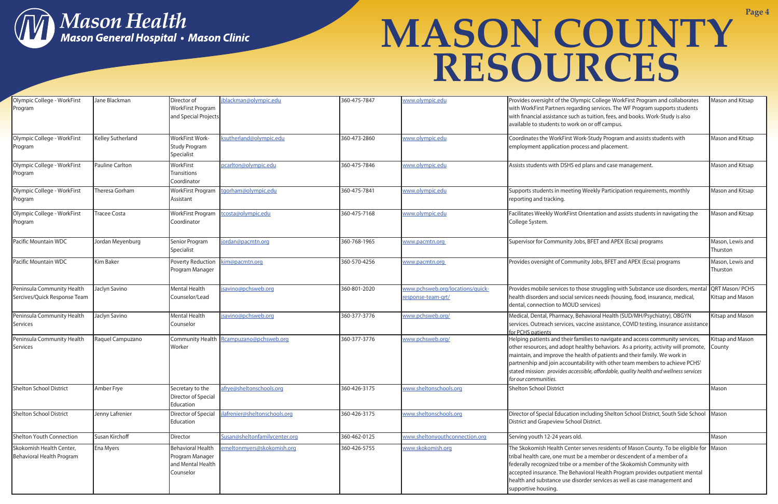

| Olympic College - WorkFirst<br>Program                     | Jane Blackman       | Director of<br>WorkFirst Program<br>and Special Projects                      | jblackman@olympic.edu                   | 360-475-7847 | www.olympic.edu                                        | Provides oversight of the Olympic College WorkFirst Program and collaborates<br>with WorkFirst Partners regarding services. The WF Program supports students<br>with financial assistance such as tuition, fees, and books. Work-Study is also<br>available to students to work on or off campus.                                                                                                                                                   | Mason and Kitsap                          |
|------------------------------------------------------------|---------------------|-------------------------------------------------------------------------------|-----------------------------------------|--------------|--------------------------------------------------------|-----------------------------------------------------------------------------------------------------------------------------------------------------------------------------------------------------------------------------------------------------------------------------------------------------------------------------------------------------------------------------------------------------------------------------------------------------|-------------------------------------------|
| Olympic College - WorkFirst<br>Program                     | Kelley Sutherland   | WorkFirst Work-<br><b>Study Program</b><br>Specialist                         | sutherland@olympic.edu                  | 360-473-2860 | www.olympic.edu                                        | Coordinates the WorkFirst Work-Study Program and assists students with<br>employment application process and placement.                                                                                                                                                                                                                                                                                                                             | Mason and Kitsap                          |
| Olympic College - WorkFirst<br>Program                     | Pauline Carlton     | WorkFirst<br>Transitions<br>Coordinator                                       | pcarlton@olympic.edu                    | 360-475-7846 | www.olympic.edu                                        | Assists students with DSHS ed plans and case management.                                                                                                                                                                                                                                                                                                                                                                                            | Mason and Kitsap                          |
| Olympic College - WorkFirst<br>Program                     | Theresa Gorham      | WorkFirst Program<br>Assistant                                                | tgorham@olympic.edu                     | 360-475-7841 | www.olympic.edu                                        | Supports students in meeting Weekly Participation requirements, monthly<br>reporting and tracking.                                                                                                                                                                                                                                                                                                                                                  | Mason and Kitsap                          |
| Olympic College - WorkFirst<br>Program                     | <b>Tracee Costa</b> | WorkFirst Program<br>Coordinator                                              | tcosta@olympic.edu                      | 360-475-7168 | www.olympic.edu                                        | Facilitates Weekly WorkFirst Orientation and assists students in navigating the<br>College System.                                                                                                                                                                                                                                                                                                                                                  | Mason and Kitsap                          |
| Pacific Mountain WDC                                       | Jordan Meyenburg    | Senior Program<br>Specialist                                                  | jordan@pacmtn.org                       | 360-768-1965 | www.pacmtn.org                                         | Supervisor for Community Jobs, BFET and APEX (Ecsa) programs                                                                                                                                                                                                                                                                                                                                                                                        | Mason, Lewis and<br>Thurston              |
| Pacific Mountain WDC                                       | <b>Kim Baker</b>    | Poverty Reduction<br>Program Manager                                          | sim@pacmtn.org                          | 360-570-4256 | www.pacmtn.org                                         | Provides oversight of Community Jobs, BFET and APEX (Ecsa) programs                                                                                                                                                                                                                                                                                                                                                                                 | Mason, Lewis and<br>Thurston              |
| Peninsula Community Health<br>Sercives/Quick Response Team | Jaclyn Savino       | Mental Health<br>Counselor/Lead                                               | jsavino@pchsweb.org                     | 360-801-2020 | www.pchsweb.org/locations/quick-<br>response-team-grt/ | Provides mobile services to those struggling with Substance use disorders, menta<br>health disorders and social services needs (housing, food, insurance, medical,<br>dental, connection to MOUD services)                                                                                                                                                                                                                                          | QRT Mason/PCHS<br><b>Kitsap and Mason</b> |
| Peninsula Community Health<br>Services                     | Jaclyn Savino       | Mental Health<br>Counselor                                                    | jsavino@pchsweb.org                     | 360-377-3776 | www.pchsweb.org/                                       | Medical, Dental, Pharmacy, Behavioral Health (SUD/MH/Psychiatry), OBGYN<br>services. Outreach services, vaccine assistance, COVID testing, insurance assistance<br>for PCHS patients                                                                                                                                                                                                                                                                | <b>Kitsap and Mason</b>                   |
| Peninsula Community Health<br>Services                     | Raquel Campuzano    | Worker                                                                        | Community Health Rcampuzano@pchsweb.org | 360-377-3776 | www.pchsweb.org/                                       | Helping patients and their families to navigate and access community services,<br>other resources, and adopt healthy behaviors. As a priority, activity will promote,<br>maintain, and improve the health of patients and their family. We work in<br>partnership and join accountability with other team members to achieve PCHS'<br>stated mission: provides accessible, affordable, quality health and wellness services<br>for our communities. | <b>Kitsap and Mason</b><br>County         |
| Shelton School District                                    | Amber Frye          | Secretary to the<br>Director of Special<br>Education                          | afrye@sheltonschools.org                | 360-426-3175 | www.sheltonschools.org                                 | Shelton School District                                                                                                                                                                                                                                                                                                                                                                                                                             | Mason                                     |
| Shelton School District                                    | Jenny Lafrenier     | Director of Special<br>Education                                              | afrenier@sheltonschools.org             | 360-426-3175 | www.sheltonschools.org                                 | Director of Special Education including Shelton School District, South Side School Mason<br>District and Grapeview School District.                                                                                                                                                                                                                                                                                                                 |                                           |
| Shelton Youth Connection                                   | Susan Kirchoff      | Director                                                                      | Susan@sheltonfamilycenter.org           | 360-462-0125 | www.sheltonyouthconnection.org                         | Serving youth 12-24 years old.                                                                                                                                                                                                                                                                                                                                                                                                                      | Mason                                     |
| Skokomish Health Center,<br>Behavioral Health Program      | Ena Myers           | <b>Behavioral Health</b><br>Program Manager<br>and Mental Health<br>Counselor | emeltonmyers@skokomish.org              | 360-426-5755 | www.skokomish.org                                      | The Skokomish Health Center serves residents of Mason County. To be eligible for Mason<br>tribal health care, one must be a member or descendent of a member of a<br>federally recognized tribe or a member of the Skokomish Community with<br>accepted insurance. The Behavioral Health Program provides outpatient mental<br>health and substance use disorder services as well as case management and<br>supportive housing.                     |                                           |

| Provides oversight of the Olympic College WorkFirst Program and collaborates<br>with WorkFirst Partners regarding services. The WF Program supports students<br>with financial assistance such as tuition, fees, and books. Work-Study is also<br>available to students to work on or off campus.                                                                                                                                                   | Mason and Kitsap                    |
|-----------------------------------------------------------------------------------------------------------------------------------------------------------------------------------------------------------------------------------------------------------------------------------------------------------------------------------------------------------------------------------------------------------------------------------------------------|-------------------------------------|
| Coordinates the WorkFirst Work-Study Program and assists students with<br>employment application process and placement.                                                                                                                                                                                                                                                                                                                             | Mason and Kitsap                    |
| Assists students with DSHS ed plans and case management.                                                                                                                                                                                                                                                                                                                                                                                            | Mason and Kitsap                    |
| Supports students in meeting Weekly Participation requirements, monthly<br>reporting and tracking.                                                                                                                                                                                                                                                                                                                                                  | Mason and Kitsap                    |
| Facilitates Weekly WorkFirst Orientation and assists students in navigating the<br>College System.                                                                                                                                                                                                                                                                                                                                                  | Mason and Kitsap                    |
| Supervisor for Community Jobs, BFET and APEX (Ecsa) programs                                                                                                                                                                                                                                                                                                                                                                                        | Mason, Lewis and<br>Thurston        |
| Provides oversight of Community Jobs, BFET and APEX (Ecsa) programs                                                                                                                                                                                                                                                                                                                                                                                 | Mason, Lewis and<br>Thurston        |
| Provides mobile services to those struggling with Substance use disorders, mental<br>health disorders and social services needs (housing, food, insurance, medical,<br>dental, connection to MOUD services)                                                                                                                                                                                                                                         | QRT Mason/ PCHS<br>Kitsap and Mason |
| Medical, Dental, Pharmacy, Behavioral Health (SUD/MH/Psychiatry), OBGYN<br>services. Outreach services, vaccine assistance, COVID testing, insurance assistance<br>for PCHS patients                                                                                                                                                                                                                                                                | Kitsap and Mason                    |
| Helping patients and their families to navigate and access community services,<br>other resources, and adopt healthy behaviors. As a priority, activity will promote,<br>maintain, and improve the health of patients and their family. We work in<br>partnership and join accountability with other team members to achieve PCHS'<br>stated mission: provides accessible, affordable, quality health and wellness services<br>for our communities. | Kitsap and Mason<br>County          |
| <b>Shelton School District</b>                                                                                                                                                                                                                                                                                                                                                                                                                      | Mason                               |
| Director of Special Education including Shelton School District, South Side School<br>District and Grapeview School District.                                                                                                                                                                                                                                                                                                                       | Mason                               |
| Serving youth 12-24 years old.                                                                                                                                                                                                                                                                                                                                                                                                                      | Mason                               |
| The Skokomish Health Center serves residents of Mason County. To be eligible for<br>tribal health care, one must be a member or descendent of a member of a<br>federally recognized tribe or a member of the Skokomish Community with<br>accepted insurance. The Behavioral Health Program provides outpatient mental<br>health and substance use disorder services as well as case management and<br>supportive housing.                           | Mason                               |